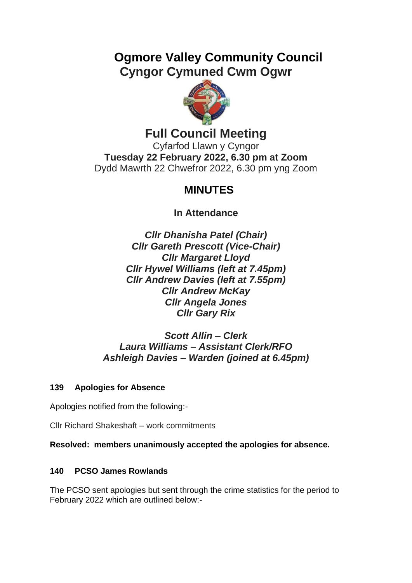# **Ogmore Valley Community Council Cyngor Cymuned Cwm Ogwr**



# **Full Council Meeting**

Cyfarfod Llawn y Cyngor **Tuesday 22 February 2022, 6.30 pm at Zoom** Dydd Mawrth 22 Chwefror 2022, 6.30 pm yng Zoom

# **MINUTES**

**In Attendance**

*Cllr Dhanisha Patel (Chair) Cllr Gareth Prescott (Vice-Chair) Cllr Margaret Lloyd Cllr Hywel Williams (left at 7.45pm) Cllr Andrew Davies (left at 7.55pm) Cllr Andrew McKay Cllr Angela Jones Cllr Gary Rix*

# *Scott Allin – Clerk Laura Williams – Assistant Clerk/RFO Ashleigh Davies – Warden (joined at 6.45pm)*

# **139 Apologies for Absence**

Apologies notified from the following:-

Cllr Richard Shakeshaft – work commitments

**Resolved: members unanimously accepted the apologies for absence.**

## **140 PCSO James Rowlands**

The PCSO sent apologies but sent through the crime statistics for the period to February 2022 which are outlined below:-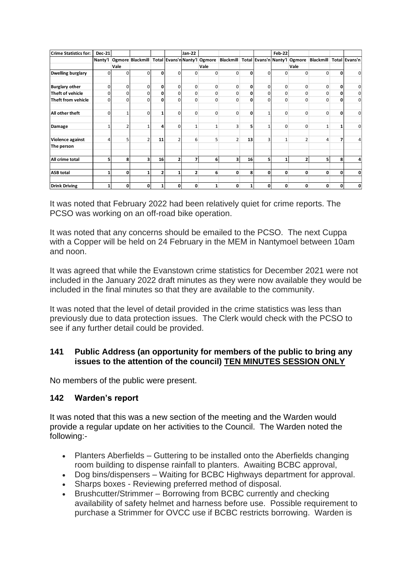| <b>Crime Statistics for:</b> | <b>Dec-21</b> |                |                                                                                                              |          |                | <b>Jan-22</b> |                |                |          |              | <b>Feb-22</b> |                |              |          |                         |
|------------------------------|---------------|----------------|--------------------------------------------------------------------------------------------------------------|----------|----------------|---------------|----------------|----------------|----------|--------------|---------------|----------------|--------------|----------|-------------------------|
|                              | Nanty'l       |                | Ogmore Blackmill Total Evans'n Nanty'l Ogmore Blackmill Total Evans'n Nanty'l Ogmore Blackmill Total Evans'n |          |                |               |                |                |          |              |               |                |              |          |                         |
|                              |               | Vale           |                                                                                                              |          |                |               | Vale           |                |          |              |               | Vale           |              |          |                         |
| <b>Dwelling burglary</b>     | 0             | 0              | $\Omega$                                                                                                     | $\Omega$ | $\Omega$       | 0             | 0              | $\Omega$       | 0        | 0            | $\mathbf 0$   | $\Omega$       | 0            | 0        | $\overline{0}$          |
| <b>Burglary other</b>        | 0             | 0              | $\Omega$                                                                                                     | $\Omega$ | $\Omega$       | 0             | $\mathbf 0$    | 0              | 0        | 0            | $\mathbf 0$   | $\Omega$       | 0            | 0        | $\overline{0}$          |
| Theft of vehicle             | 0             | $\mathbf 0$    | 0                                                                                                            |          | $\Omega$       | 0             | 0              | 0              | 0        | 0            | 0             | 0              | 0            | 0        | $\overline{0}$          |
| Theft from vehicle           | $\Omega$      | $\Omega$       | O                                                                                                            | n        | U              | U             | $\Omega$       | $\Omega$       | $\Omega$ | $\Omega$     | $\Omega$      | $\Omega$       | $\Omega$     | $\Omega$ | $\overline{0}$          |
| All other theft              | 0             | $\mathbf{1}$   | $\Omega$                                                                                                     |          | $\Omega$       | $\Omega$      | 0              | $\mathbf{0}$   | 0        | $\mathbf{1}$ | 0             | $\mathbf 0$    | $\mathbf 0$  | 0        | $\overline{0}$          |
| Damage                       |               | $\overline{2}$ | 1                                                                                                            | Δ        | $\Omega$       | $\mathbf{1}$  | 1 <sub>1</sub> | 3              | 5        | $\mathbf{1}$ | 0             | $\mathbf 0$    | $\mathbf{1}$ | 1        | $\overline{0}$          |
| Violence against             | 4             | 5              | $\overline{2}$                                                                                               | 11       | $\overline{2}$ | 6             | 5              | $\overline{2}$ | 13       | 3            | $\mathbf{1}$  | $\overline{2}$ | 4            | 7        | $\overline{4}$          |
| The person                   |               |                |                                                                                                              |          |                |               |                |                |          |              |               |                |              |          |                         |
| All crime total              | 5             | 8              | 3                                                                                                            | 16       | $\overline{2}$ | 7             | 6              | 3              | 16       | 5            | 1             | $\overline{2}$ | 5            | 8        | $\overline{\mathbf{a}}$ |
| <b>ASB total</b>             | 1             | 0              |                                                                                                              | 2        |                | 2             | 6              | $\mathbf{0}$   | 8        | 0            | 0             | 0              | 0            | 0        | $\mathbf{0}$            |
| <b>Drink Driving</b>         | 1             | 0              | 0                                                                                                            |          | 0              | 0             | 1              | 0              |          | 0            | 0             | $\mathbf{0}$   | 0            | 0        | $\mathbf{0}$            |

It was noted that February 2022 had been relatively quiet for crime reports. The PCSO was working on an off-road bike operation.

It was noted that any concerns should be emailed to the PCSO. The next Cuppa with a Copper will be held on 24 February in the MEM in Nantymoel between 10am and noon.

It was agreed that while the Evanstown crime statistics for December 2021 were not included in the January 2022 draft minutes as they were now available they would be included in the final minutes so that they are available to the community.

It was noted that the level of detail provided in the crime statistics was less than previously due to data protection issues. The Clerk would check with the PCSO to see if any further detail could be provided.

#### **141 Public Address (an opportunity for members of the public to bring any issues to the attention of the council) TEN MINUTES SESSION ONLY**

No members of the public were present.

#### **142 Warden's report**

It was noted that this was a new section of the meeting and the Warden would provide a regular update on her activities to the Council. The Warden noted the following:-

- Planters Aberfields Guttering to be installed onto the Aberfields changing room building to dispense rainfall to planters. Awaiting BCBC approval,
- Dog bins/dispensers Waiting for BCBC Highways department for approval.
- Sharps boxes Reviewing preferred method of disposal.
- Brushcutter/Strimmer Borrowing from BCBC currently and checking availability of safety helmet and harness before use. Possible requirement to purchase a Strimmer for OVCC use if BCBC restricts borrowing. Warden is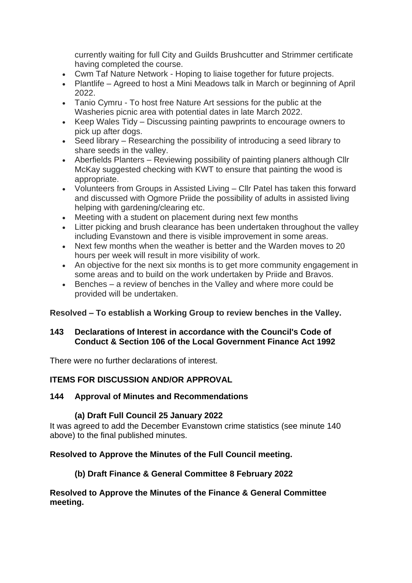currently waiting for full City and Guilds Brushcutter and Strimmer certificate having completed the course.

- Cwm Taf Nature Network Hoping to liaise together for future projects.
- Plantlife Agreed to host a Mini Meadows talk in March or beginning of April 2022.
- Tanio Cymru To host free Nature Art sessions for the public at the Washeries picnic area with potential dates in late March 2022.
- Keep Wales Tidy Discussing painting pawprints to encourage owners to pick up after dogs.
- Seed library Researching the possibility of introducing a seed library to share seeds in the valley.
- Aberfields Planters Reviewing possibility of painting planers although Cllr McKay suggested checking with KWT to ensure that painting the wood is appropriate.
- Volunteers from Groups in Assisted Living Cllr Patel has taken this forward and discussed with Ogmore Priide the possibility of adults in assisted living helping with gardening/clearing etc.
- Meeting with a student on placement during next few months
- Litter picking and brush clearance has been undertaken throughout the valley including Evanstown and there is visible improvement in some areas.
- Next few months when the weather is better and the Warden moves to 20 hours per week will result in more visibility of work.
- An objective for the next six months is to get more community engagement in some areas and to build on the work undertaken by Priide and Bravos.
- Benches a review of benches in the Valley and where more could be provided will be undertaken.

# **Resolved – To establish a Working Group to review benches in the Valley.**

#### **143 Declarations of Interest in accordance with the Council's Code of Conduct & Section 106 of the Local Government Finance Act 1992**

There were no further declarations of interest.

# **ITEMS FOR DISCUSSION AND/OR APPROVAL**

## **144 Approval of Minutes and Recommendations**

# **(a) Draft Full Council 25 January 2022**

It was agreed to add the December Evanstown crime statistics (see minute 140 above) to the final published minutes.

# **Resolved to Approve the Minutes of the Full Council meeting.**

# **(b) Draft Finance & General Committee 8 February 2022**

#### **Resolved to Approve the Minutes of the Finance & General Committee meeting.**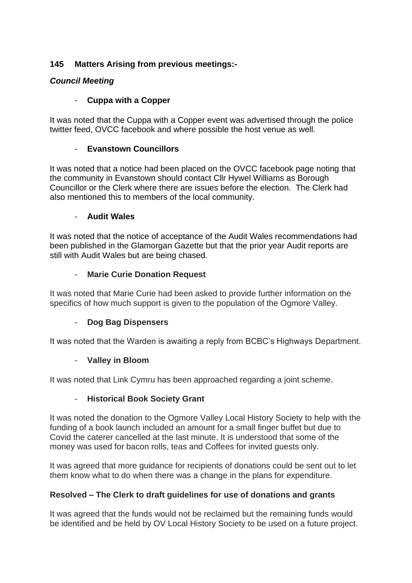## **145 Matters Arising from previous meetings:-**

## *Council Meeting*

## - **Cuppa with a Copper**

It was noted that the Cuppa with a Copper event was advertised through the police twitter feed, OVCC facebook and where possible the host venue as well.

## - **Evanstown Councillors**

It was noted that a notice had been placed on the OVCC facebook page noting that the community in Evanstown should contact Cllr Hywel Williams as Borough Councillor or the Clerk where there are issues before the election. The Clerk had also mentioned this to members of the local community.

#### - **Audit Wales**

It was noted that the notice of acceptance of the Audit Wales recommendations had been published in the Glamorgan Gazette but that the prior year Audit reports are still with Audit Wales but are being chased.

#### - **Marie Curie Donation Request**

It was noted that Marie Curie had been asked to provide further information on the specifics of how much support is given to the population of the Ogmore Valley.

## - **Dog Bag Dispensers**

It was noted that the Warden is awaiting a reply from BCBC's Highways Department.

## - **Valley in Bloom**

It was noted that Link Cymru has been approached regarding a joint scheme.

## - **Historical Book Society Grant**

It was noted the donation to the Ogmore Valley Local History Society to help with the funding of a book launch included an amount for a small finger buffet but due to Covid the caterer cancelled at the last minute. It is understood that some of the money was used for bacon rolls, teas and Coffees for invited guests only.

It was agreed that more guidance for recipients of donations could be sent out to let them know what to do when there was a change in the plans for expenditure.

## **Resolved – The Clerk to draft guidelines for use of donations and grants**

It was agreed that the funds would not be reclaimed but the remaining funds would be identified and be held by OV Local History Society to be used on a future project.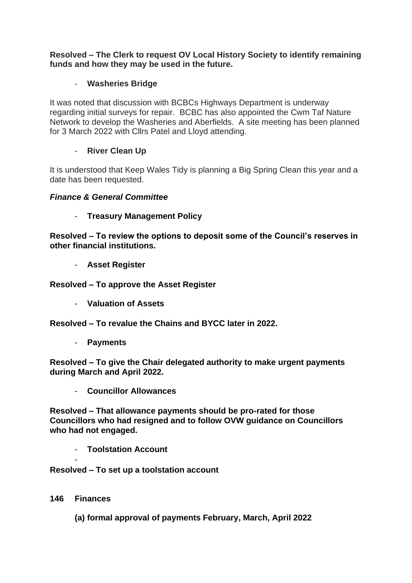**Resolved – The Clerk to request OV Local History Society to identify remaining funds and how they may be used in the future.**

#### - **Washeries Bridge**

It was noted that discussion with BCBCs Highways Department is underway regarding initial surveys for repair. BCBC has also appointed the Cwm Taf Nature Network to develop the Washeries and Aberfields. A site meeting has been planned for 3 March 2022 with Cllrs Patel and Lloyd attending.

#### - **River Clean Up**

It is understood that Keep Wales Tidy is planning a Big Spring Clean this year and a date has been requested.

#### *Finance & General Committee*

- **Treasury Management Policy** 

**Resolved – To review the options to deposit some of the Council's reserves in other financial institutions.**

- **Asset Register**

**Resolved – To approve the Asset Register**

- **Valuation of Assets** 

**Resolved – To revalue the Chains and BYCC later in 2022.**

- **Payments** 

**Resolved – To give the Chair delegated authority to make urgent payments during March and April 2022.**

- **Councillor Allowances** 

**Resolved – That allowance payments should be pro-rated for those Councillors who had resigned and to follow OVW guidance on Councillors who had not engaged.**

- **Toolstation Account** 

**Resolved – To set up a toolstation account**

**146 Finances** 

-

**(a) formal approval of payments February, March, April 2022**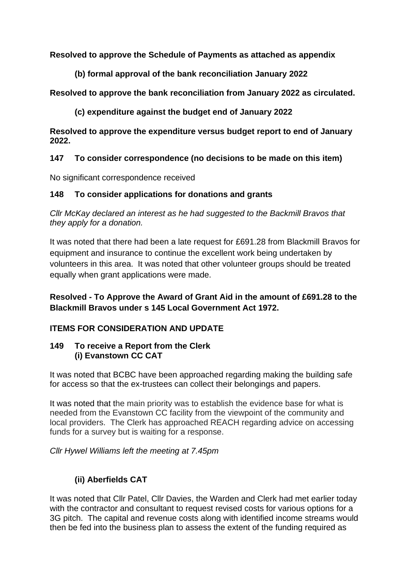## **Resolved to approve the Schedule of Payments as attached as appendix**

**(b) formal approval of the bank reconciliation January 2022**

**Resolved to approve the bank reconciliation from January 2022 as circulated.**

**(c) expenditure against the budget end of January 2022** 

**Resolved to approve the expenditure versus budget report to end of January 2022.** 

## **147 To consider correspondence (no decisions to be made on this item)**

No significant correspondence received

## **148 To consider applications for donations and grants**

*Cllr McKay declared an interest as he had suggested to the Backmill Bravos that they apply for a donation.*

It was noted that there had been a late request for £691.28 from Blackmill Bravos for equipment and insurance to continue the excellent work being undertaken by volunteers in this area. It was noted that other volunteer groups should be treated equally when grant applications were made.

# **Resolved - To Approve the Award of Grant Aid in the amount of £691.28 to the Blackmill Bravos under s 145 Local Government Act 1972.**

# **ITEMS FOR CONSIDERATION AND UPDATE**

## **149 To receive a Report from the Clerk (i) Evanstown CC CAT**

It was noted that BCBC have been approached regarding making the building safe for access so that the ex-trustees can collect their belongings and papers.

It was noted that the main priority was to establish the evidence base for what is needed from the Evanstown CC facility from the viewpoint of the community and local providers. The Clerk has approached REACH regarding advice on accessing funds for a survey but is waiting for a response.

*Cllr Hywel Williams left the meeting at 7.45pm* 

# **(ii) Aberfields CAT**

It was noted that Cllr Patel, Cllr Davies, the Warden and Clerk had met earlier today with the contractor and consultant to request revised costs for various options for a 3G pitch. The capital and revenue costs along with identified income streams would then be fed into the business plan to assess the extent of the funding required as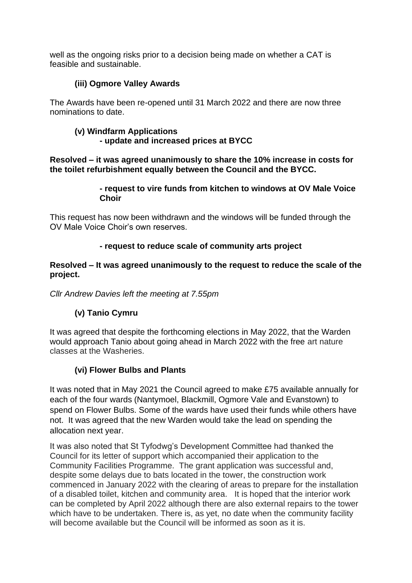well as the ongoing risks prior to a decision being made on whether a CAT is feasible and sustainable.

## **(iii) Ogmore Valley Awards**

The Awards have been re-opened until 31 March 2022 and there are now three nominations to date.

#### **(v) Windfarm Applications - update and increased prices at BYCC**

**Resolved – it was agreed unanimously to share the 10% increase in costs for the toilet refurbishment equally between the Council and the BYCC.**

#### **- request to vire funds from kitchen to windows at OV Male Voice Choir**

This request has now been withdrawn and the windows will be funded through the OV Male Voice Choir's own reserves.

## **- request to reduce scale of community arts project**

#### **Resolved – It was agreed unanimously to the request to reduce the scale of the project.**

*Cllr Andrew Davies left the meeting at 7.55pm*

# **(v) Tanio Cymru**

It was agreed that despite the forthcoming elections in May 2022, that the Warden would approach Tanio about going ahead in March 2022 with the free art nature classes at the Washeries.

## **(vi) Flower Bulbs and Plants**

It was noted that in May 2021 the Council agreed to make £75 available annually for each of the four wards (Nantymoel, Blackmill, Ogmore Vale and Evanstown) to spend on Flower Bulbs. Some of the wards have used their funds while others have not. It was agreed that the new Warden would take the lead on spending the allocation next year.

It was also noted that St Tyfodwg's Development Committee had thanked the Council for its letter of support which accompanied their application to the Community Facilities Programme. The grant application was successful and, despite some delays due to bats located in the tower, the construction work commenced in January 2022 with the clearing of areas to prepare for the installation of a disabled toilet, kitchen and community area. It is hoped that the interior work can be completed by April 2022 although there are also external repairs to the tower which have to be undertaken. There is, as yet, no date when the community facility will become available but the Council will be informed as soon as it is.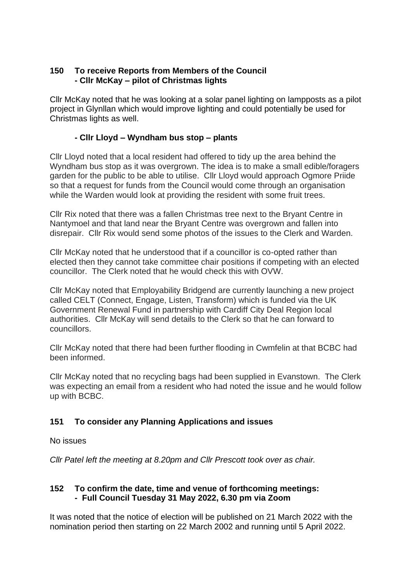#### **150 To receive Reports from Members of the Council - Cllr McKay – pilot of Christmas lights**

Cllr McKay noted that he was looking at a solar panel lighting on lampposts as a pilot project in Glynllan which would improve lighting and could potentially be used for Christmas lights as well.

#### **- Cllr Lloyd – Wyndham bus stop – plants**

Cllr Lloyd noted that a local resident had offered to tidy up the area behind the Wyndham bus stop as it was overgrown. The idea is to make a small edible/foragers garden for the public to be able to utilise. Cllr Lloyd would approach Ogmore Priide so that a request for funds from the Council would come through an organisation while the Warden would look at providing the resident with some fruit trees.

Cllr Rix noted that there was a fallen Christmas tree next to the Bryant Centre in Nantymoel and that land near the Bryant Centre was overgrown and fallen into disrepair. Cllr Rix would send some photos of the issues to the Clerk and Warden.

Cllr McKay noted that he understood that if a councillor is co-opted rather than elected then they cannot take committee chair positions if competing with an elected councillor. The Clerk noted that he would check this with OVW.

Cllr McKay noted that Employability Bridgend are currently launching a new project called CELT (Connect, Engage, Listen, Transform) which is funded via the UK Government Renewal Fund in partnership with Cardiff City Deal Region local authorities. Cllr McKay will send details to the Clerk so that he can forward to councillors.

Cllr McKay noted that there had been further flooding in Cwmfelin at that BCBC had been informed.

Cllr McKay noted that no recycling bags had been supplied in Evanstown. The Clerk was expecting an email from a resident who had noted the issue and he would follow up with BCBC.

#### **151 To consider any Planning Applications and issues**

No issues

*Cllr Patel left the meeting at 8.20pm and Cllr Prescott took over as chair.*

## **152 To confirm the date, time and venue of forthcoming meetings: - Full Council Tuesday 31 May 2022, 6.30 pm via Zoom**

It was noted that the notice of election will be published on 21 March 2022 with the nomination period then starting on 22 March 2002 and running until 5 April 2022.